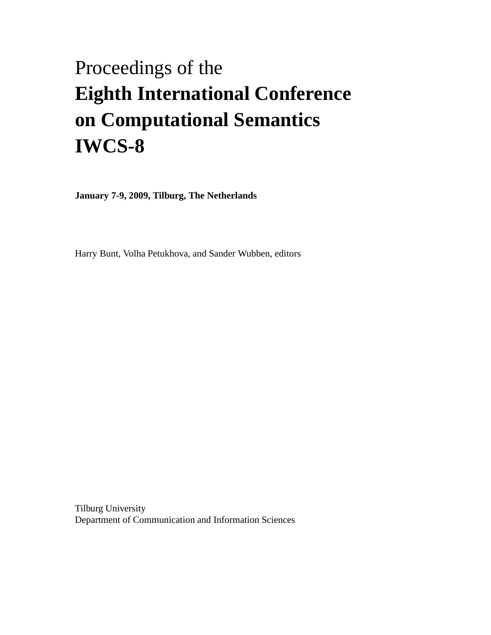# <span id="page-0-0"></span>Proceedings of the **Eighth International Conference on Computational Semantics IWCS-8**

**January 7-9, 2009, Tilburg, The Netherlands**

Harry Bunt, Volha Petukhova, and Sander Wubben, editors

Tilburg University Department of Communication and Information Sciences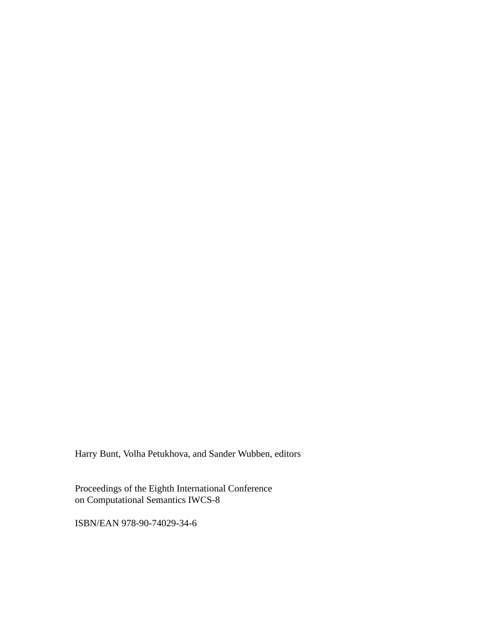Harry Bunt, Volha Petukhova, and Sander Wubben, editors

Proceedings of the Eighth International Conference on Computational Semantics IWCS-8

ISBN/EAN 978-90-74029-34-6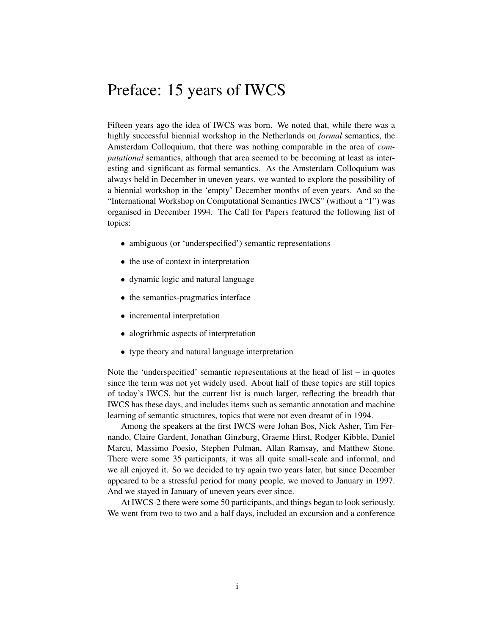### Preface: 15 years of IWCS

Fifteen years ago the idea of IWCS was born. We noted that, while there was a highly successful biennial workshop in the Netherlands on *formal* semantics, the Amsterdam Colloquium, that there was nothing comparable in the area of *computational* semantics, although that area seemed to be becoming at least as interesting and significant as formal semantics. As the Amsterdam Colloquium was always held in December in uneven years, we wanted to explore the possibility of a biennial workshop in the 'empty' December months of even years. And so the "International Workshop on Computational Semantics IWCS" (without a "1") was organised in December 1994. The Call for Papers featured the following list of topics:

- ambiguous (or 'underspecified') semantic representations
- the use of context in interpretation
- dynamic logic and natural language
- the semantics-pragmatics interface
- incremental interpretation
- alogrithmic aspects of interpretation
- type theory and natural language interpretation

Note the 'underspecified' semantic representations at the head of list  $-$  in quotes since the term was not yet widely used. About half of these topics are still topics of today's IWCS, but the current list is much larger, reflecting the breadth that IWCS has these days, and includes items such as semantic annotation and machine learning of semantic structures, topics that were not even dreamt of in 1994.

Among the speakers at the first IWCS were Johan Bos, Nick Asher, Tim Fernando, Claire Gardent, Jonathan Ginzburg, Graeme Hirst, Rodger Kibble, Daniel Marcu, Massimo Poesio, Stephen Pulman, Allan Ramsay, and Matthew Stone. There were some 35 participants, it was all quite small-scale and informal, and we all enjoyed it. So we decided to try again two years later, but since December appeared to be a stressful period for many people, we moved to January in 1997. And we stayed in January of uneven years ever since.

At IWCS-2 there were some 50 participants, and things began to look seriously. We went from two to two and a half days, included an excursion and a conference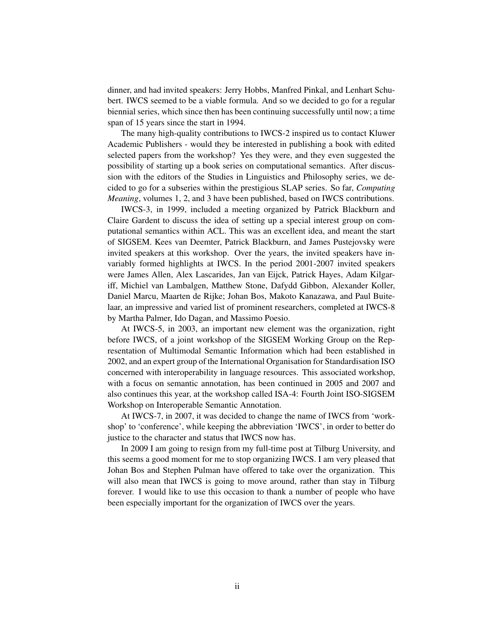dinner, and had invited speakers: Jerry Hobbs, Manfred Pinkal, and Lenhart Schubert. IWCS seemed to be a viable formula. And so we decided to go for a regular biennial series, which since then has been continuing successfully until now; a time span of 15 years since the start in 1994.

The many high-quality contributions to IWCS-2 inspired us to contact Kluwer Academic Publishers - would they be interested in publishing a book with edited selected papers from the workshop? Yes they were, and they even suggested the possibility of starting up a book series on computational semantics. After discussion with the editors of the Studies in Linguistics and Philosophy series, we decided to go for a subseries within the prestigious SLAP series. So far, *Computing Meaning*, volumes 1, 2, and 3 have been published, based on IWCS contributions.

IWCS-3, in 1999, included a meeting organized by Patrick Blackburn and Claire Gardent to discuss the idea of setting up a special interest group on computational semantics within ACL. This was an excellent idea, and meant the start of SIGSEM. Kees van Deemter, Patrick Blackburn, and James Pustejovsky were invited speakers at this workshop. Over the years, the invited speakers have invariably formed highlights at IWCS. In the period 2001-2007 invited speakers were James Allen, Alex Lascarides, Jan van Eijck, Patrick Hayes, Adam Kilgariff, Michiel van Lambalgen, Matthew Stone, Dafydd Gibbon, Alexander Koller, Daniel Marcu, Maarten de Rijke; Johan Bos, Makoto Kanazawa, and Paul Buitelaar, an impressive and varied list of prominent researchers, completed at IWCS-8 by Martha Palmer, Ido Dagan, and Massimo Poesio.

At IWCS-5, in 2003, an important new element was the organization, right before IWCS, of a joint workshop of the SIGSEM Working Group on the Representation of Multimodal Semantic Information which had been established in 2002, and an expert group of the International Organisation for Standardisation ISO concerned with interoperability in language resources. This associated workshop, with a focus on semantic annotation, has been continued in 2005 and 2007 and also continues this year, at the workshop called ISA-4: Fourth Joint ISO-SIGSEM Workshop on Interoperable Semantic Annotation.

At IWCS-7, in 2007, it was decided to change the name of IWCS from 'workshop' to 'conference', while keeping the abbreviation 'IWCS', in order to better do justice to the character and status that IWCS now has.

In 2009 I am going to resign from my full-time post at Tilburg University, and this seems a good moment for me to stop organizing IWCS. I am very pleased that Johan Bos and Stephen Pulman have offered to take over the organization. This will also mean that IWCS is going to move around, rather than stay in Tilburg forever. I would like to use this occasion to thank a number of people who have been especially important for the organization of IWCS over the years.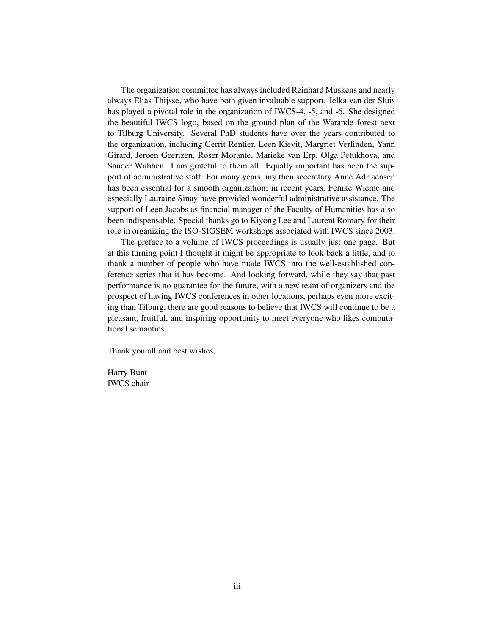The organization committee has always included Reinhard Muskens and nearly always Elias Thijsse, who have both given invaluable support. Ielka van der Sluis has played a pivotal role in the organization of IWCS-4, -5, and -6. She designed the beautiful IWCS logo, based on the ground plan of the Warande forest next to Tilburg University. Several PhD students have over the years contributed to the organization, including Gerrit Rentier, Leen Kievit, Margriet Verlinden, Yann Girard, Jeroen Geertzen, Roser Morante, Marieke van Erp, Olga Petukhova, and Sander Wubben. I am grateful to them all. Equally important has been the support of administrative staff. For many years, my then seceretary Anne Adriaensen has been essential for a smooth organization; in recent years, Femke Wieme and especially Lauraine Sinay have provided wonderful administrative assistance. The support of Leen Jacobs as financial manager of the Faculty of Humanities has also been indispensable. Special thanks go to Kiyong Lee and Laurent Romary for their role in organizing the ISO-SIGSEM workshops associated with IWCS since 2003.

The preface to a volume of IWCS proceedings is usually just one page. But at this turning point I thought it might be appropriate to look back a little, and to thank a number of people who have made IWCS into the well-established conference series that it has become. And looking forward, while they say that past performance is no guarantee for the future, with a new team of organizers and the prospect of having IWCS conferences in other locations, perhaps even more exciting than Tilburg, there are good reasons to believe that IWCS will continue to be a pleasant, fruitful, and inspiring opportunity to meet everyone who likes computational semantics.

Thank you all and best wishes,

Harry Bunt IWCS chair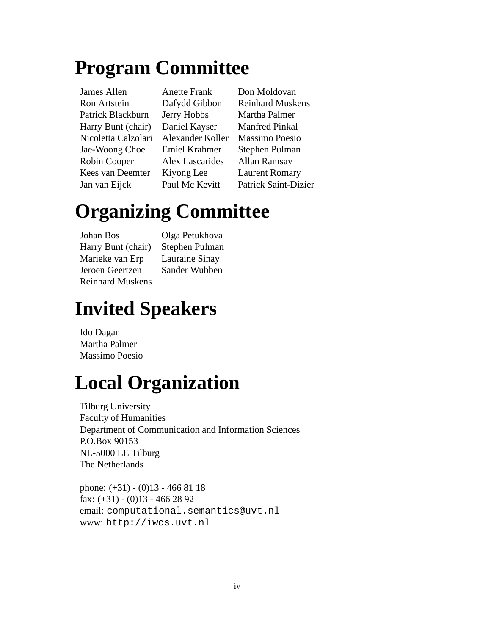### **Program Committee**

James Allen Anette Frank Don Moldovan Ron Artstein Dafydd Gibbon Reinhard Muskens Patrick Blackburn Jerry Hobbs Martha Palmer Harry Bunt (chair) Daniel Kayser Manfred Pinkal Nicoletta Calzolari Alexander Koller Massimo Poesio Jae-Woong Choe Emiel Krahmer Stephen Pulman Robin Cooper Alex Lascarides Allan Ramsay Kees van Deemter Kiyong Lee Laurent Romary Jan van Eijck Paul Mc Kevitt Patrick Saint-Dizier

# **Organizing Committee**

Johan Bos Olga Petukhova Harry Bunt (chair) Stephen Pulman Marieke van Erp Lauraine Sinay Jeroen Geertzen Sander Wubben Reinhard Muskens

### **Invited Speakers**

Ido Dagan Martha Palmer Massimo Poesio

## **Local Organization**

Tilburg University Faculty of Humanities Department of Communication and Information Sciences P.O.Box 90153 NL-5000 LE Tilburg The Netherlands

phone: (+31) - (0)13 - 466 81 18 fax:  $(+31) - (0)13 - 4662892$ email: computational.semantics@uvt.nl www: http://iwcs.uvt.nl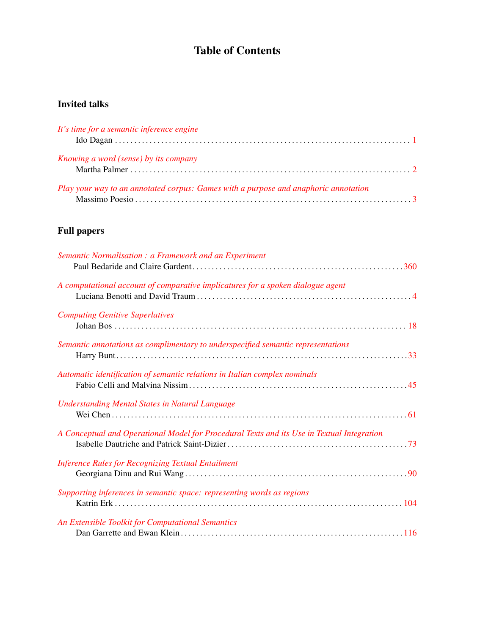#### Table of Contents

#### Invited talks

| It's time for a semantic inference engine                                           |  |
|-------------------------------------------------------------------------------------|--|
| <i>Knowing a word (sense) by its company</i>                                        |  |
| Play your way to an annotated corpus: Games with a purpose and anaphoric annotation |  |

#### Full papers

| Semantic Normalisation: a Framework and an Experiment                                      |  |
|--------------------------------------------------------------------------------------------|--|
| A computational account of comparative implicatures for a spoken dialogue agent            |  |
| <b>Computing Genitive Superlatives</b>                                                     |  |
| Semantic annotations as complimentary to underspecified semantic representations           |  |
| Automatic identification of semantic relations in Italian complex nominals                 |  |
| <b>Understanding Mental States in Natural Language</b>                                     |  |
| A Conceptual and Operational Model for Procedural Texts and its Use in Textual Integration |  |
| <b>Inference Rules for Recognizing Textual Entailment</b>                                  |  |
| Supporting inferences in semantic space: representing words as regions                     |  |
| An Extensible Toolkit for Computational Semantics                                          |  |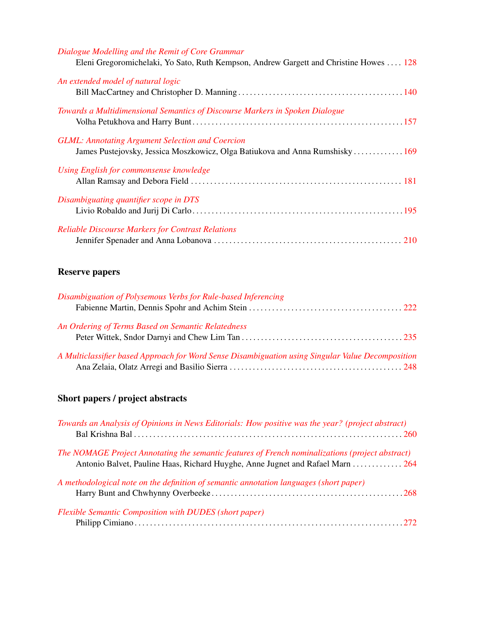| Dialogue Modelling and the Remit of Core Grammar<br>Eleni Gregoromichelaki, Yo Sato, Ruth Kempson, Andrew Gargett and Christine Howes  128 |  |
|--------------------------------------------------------------------------------------------------------------------------------------------|--|
| An extended model of natural logic                                                                                                         |  |
| Towards a Multidimensional Semantics of Discourse Markers in Spoken Dialogue                                                               |  |
| <b>GLML: Annotating Argument Selection and Coercion</b><br>James Pustejovsky, Jessica Moszkowicz, Olga Batiukova and Anna Rumshisky 169    |  |
| Using English for commonsense knowledge                                                                                                    |  |
| Disambiguating quantifier scope in DTS                                                                                                     |  |
| <b>Reliable Discourse Markers for Contrast Relations</b>                                                                                   |  |

#### Reserve papers

| Disambiguation of Polysemous Verbs for Rule-based Inferencing                                     |  |
|---------------------------------------------------------------------------------------------------|--|
|                                                                                                   |  |
| An Ordering of Terms Based on Semantic Relatedness                                                |  |
|                                                                                                   |  |
| A Multiclassifier based Approach for Word Sense Disambiguation using Singular Value Decomposition |  |
|                                                                                                   |  |

#### Short papers / project abstracts

| Towards an Analysis of Opinions in News Editorials: How positive was the year? (project abstract)                                                                                  |  |
|------------------------------------------------------------------------------------------------------------------------------------------------------------------------------------|--|
| The NOMAGE Project Annotating the semantic features of French nominalizations (project abstract)<br>Antonio Balvet, Pauline Haas, Richard Huyghe, Anne Jugnet and Rafael Marn  264 |  |
| A methodological note on the definition of semantic annotation languages (short paper)                                                                                             |  |
| <b>Flexible Semantic Composition with DUDES (short paper)</b>                                                                                                                      |  |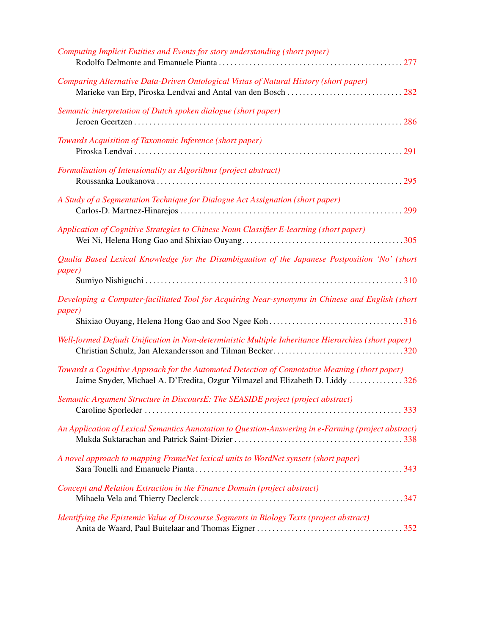| Computing Implicit Entities and Events for story understanding (short paper)                                                                                                    |
|---------------------------------------------------------------------------------------------------------------------------------------------------------------------------------|
| Comparing Alternative Data-Driven Ontological Vistas of Natural History (short paper)                                                                                           |
| Semantic interpretation of Dutch spoken dialogue (short paper)                                                                                                                  |
| Towards Acquisition of Taxonomic Inference (short paper)                                                                                                                        |
| Formalisation of Intensionality as Algorithms (project abstract)                                                                                                                |
| A Study of a Segmentation Technique for Dialogue Act Assignation (short paper)                                                                                                  |
| Application of Cognitive Strategies to Chinese Noun Classifier E-learning (short paper)                                                                                         |
| Qualia Based Lexical Knowledge for the Disambiguation of the Japanese Postposition 'No' (short<br><i>paper</i> )                                                                |
| Developing a Computer-facilitated Tool for Acquiring Near-synonyms in Chinese and English (short<br><i>paper</i> )                                                              |
| Well-formed Default Unification in Non-deterministic Multiple Inheritance Hierarchies (short paper)                                                                             |
| Towards a Cognitive Approach for the Automated Detection of Connotative Meaning (short paper)<br>Jaime Snyder, Michael A. D'Eredita, Ozgur Yilmazel and Elizabeth D. Liddy  326 |
| Semantic Argument Structure in DiscoursE: The SEASIDE project (project abstract)                                                                                                |
| An Application of Lexical Semantics Annotation to Question-Answering in e-Farming (project abstract)                                                                            |
| A novel approach to mapping FrameNet lexical units to WordNet synsets (short paper)                                                                                             |
| Concept and Relation Extraction in the Finance Domain (project abstract)                                                                                                        |
| Identifying the Epistemic Value of Discourse Segments in Biology Texts (project abstract)                                                                                       |